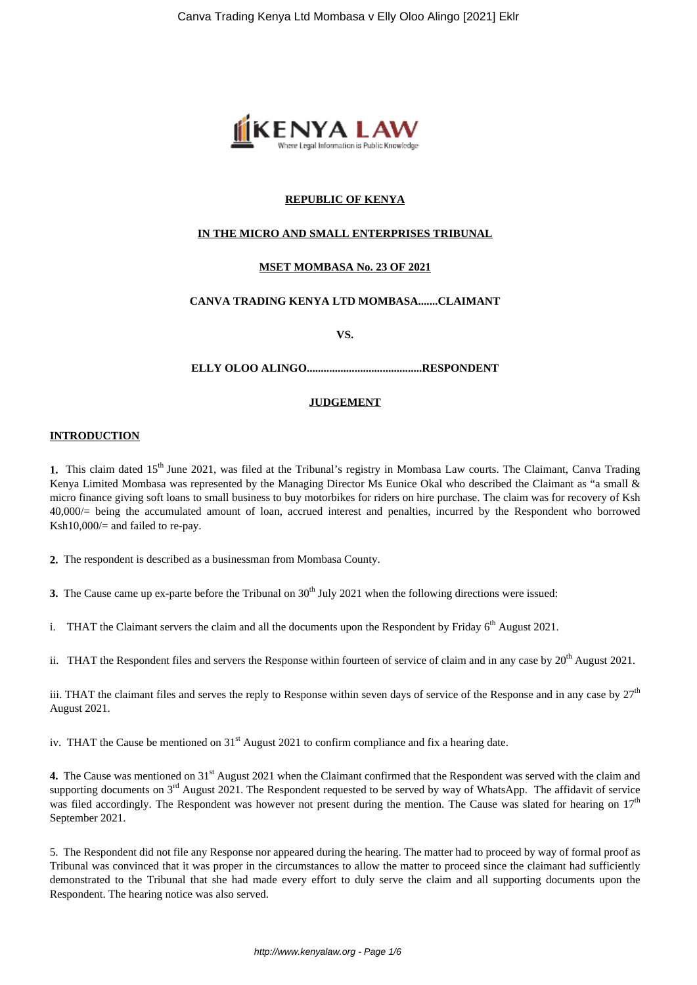

# **REPUBLIC OF KENYA**

## **IN THE MICRO AND SMALL ENTERPRISES TRIBUNAL**

# **MSET MOMBASA No. 23 OF 2021**

# **CANVA TRADING KENYA LTD MOMBASA.......CLAIMANT**

**VS.**

#### **ELLY OLOO ALINGO.........................................RESPONDENT**

#### **JUDGEMENT**

#### **INTRODUCTION**

1. This claim dated 15<sup>th</sup> June 2021, was filed at the Tribunal's registry in Mombasa Law courts. The Claimant, Canva Trading Kenya Limited Mombasa was represented by the Managing Director Ms Eunice Okal who described the Claimant as "a small & micro finance giving soft loans to small business to buy motorbikes for riders on hire purchase. The claim was for recovery of Ksh 40,000/= being the accumulated amount of loan, accrued interest and penalties, incurred by the Respondent who borrowed Ksh10,000/= and failed to re-pay.

**2.** The respondent is described as a businessman from Mombasa County.

**3.** The Cause came up ex-parte before the Tribunal on 30<sup>th</sup> July 2021 when the following directions were issued:

i. THAT the Claimant servers the claim and all the documents upon the Respondent by Friday  $6<sup>th</sup>$  August 2021.

ii. THAT the Respondent files and servers the Response within fourteen of service of claim and in any case by  $20^{th}$  August 2021.

iii. THAT the claimant files and serves the reply to Response within seven days of service of the Response and in any case by  $27<sup>th</sup>$ August 2021.

iv. THAT the Cause be mentioned on 31<sup>st</sup> August 2021 to confirm compliance and fix a hearing date.

**4.** The Cause was mentioned on 31<sup>st</sup> August 2021 when the Claimant confirmed that the Respondent was served with the claim and supporting documents on 3<sup>rd</sup> August 2021. The Respondent requested to be served by way of WhatsApp. The affidavit of service was filed accordingly. The Respondent was however not present during the mention. The Cause was slated for hearing on  $17<sup>th</sup>$ September 2021.

5. The Respondent did not file any Response nor appeared during the hearing. The matter had to proceed by way of formal proof as Tribunal was convinced that it was proper in the circumstances to allow the matter to proceed since the claimant had sufficiently demonstrated to the Tribunal that she had made every effort to duly serve the claim and all supporting documents upon the Respondent. The hearing notice was also served.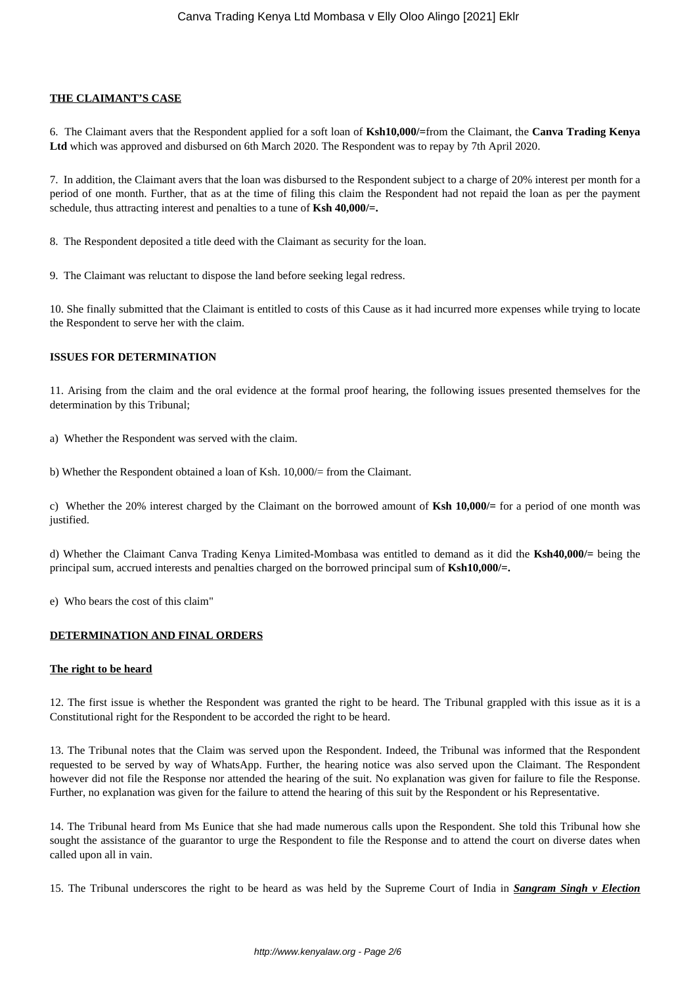## **THE CLAIMANT'S CASE**

6. The Claimant avers that the Respondent applied for a soft loan of **Ksh10,000/=**from the Claimant, the **Canva Trading Kenya Ltd** which was approved and disbursed on 6th March 2020. The Respondent was to repay by 7th April 2020.

7. In addition, the Claimant avers that the loan was disbursed to the Respondent subject to a charge of 20% interest per month for a period of one month. Further, that as at the time of filing this claim the Respondent had not repaid the loan as per the payment schedule, thus attracting interest and penalties to a tune of **Ksh 40,000/=.**

8. The Respondent deposited a title deed with the Claimant as security for the loan.

9. The Claimant was reluctant to dispose the land before seeking legal redress.

10. She finally submitted that the Claimant is entitled to costs of this Cause as it had incurred more expenses while trying to locate the Respondent to serve her with the claim.

#### **ISSUES FOR DETERMINATION**

11. Arising from the claim and the oral evidence at the formal proof hearing, the following issues presented themselves for the determination by this Tribunal;

a) Whether the Respondent was served with the claim.

b) Whether the Respondent obtained a loan of Ksh. 10,000/= from the Claimant.

c) Whether the 20% interest charged by the Claimant on the borrowed amount of **Ksh 10,000/=** for a period of one month was justified.

d) Whether the Claimant Canva Trading Kenya Limited-Mombasa was entitled to demand as it did the **Ksh40,000/=** being the principal sum, accrued interests and penalties charged on the borrowed principal sum of **Ksh10,000/=.**

e) Who bears the cost of this claim"

#### **DETERMINATION AND FINAL ORDERS**

#### **The right to be heard**

12. The first issue is whether the Respondent was granted the right to be heard. The Tribunal grappled with this issue as it is a Constitutional right for the Respondent to be accorded the right to be heard.

13. The Tribunal notes that the Claim was served upon the Respondent. Indeed, the Tribunal was informed that the Respondent requested to be served by way of WhatsApp. Further, the hearing notice was also served upon the Claimant. The Respondent however did not file the Response nor attended the hearing of the suit. No explanation was given for failure to file the Response. Further, no explanation was given for the failure to attend the hearing of this suit by the Respondent or his Representative.

14. The Tribunal heard from Ms Eunice that she had made numerous calls upon the Respondent. She told this Tribunal how she sought the assistance of the guarantor to urge the Respondent to file the Response and to attend the court on diverse dates when called upon all in vain.

15. The Tribunal underscores the right to be heard as was held by the Supreme Court of India in *Sangram Singh v Election*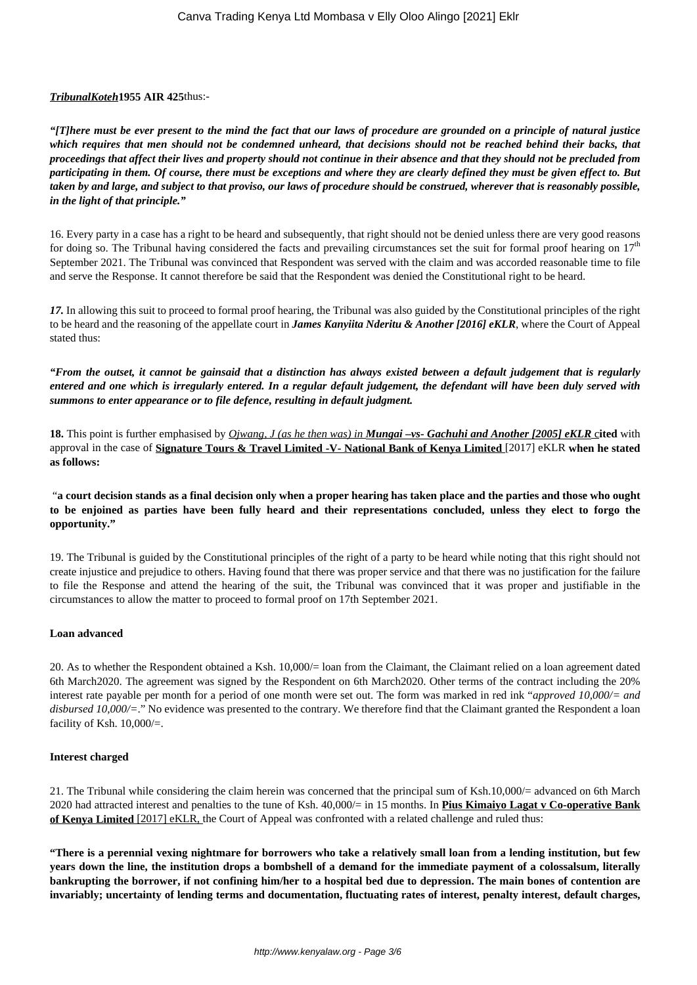## *TribunalKoteh***1955 AIR 425**thus:-

*"[T]here must be ever present to the mind the fact that our laws of procedure are grounded on a principle of natural justice which requires that men should not be condemned unheard, that decisions should not be reached behind their backs, that proceedings that affect their lives and property should not continue in their absence and that they should not be precluded from participating in them. Of course, there must be exceptions and where they are clearly defined they must be given effect to. But taken by and large, and subject to that proviso, our laws of procedure should be construed, wherever that is reasonably possible, in the light of that principle."*

16. Every party in a case has a right to be heard and subsequently, that right should not be denied unless there are very good reasons for doing so. The Tribunal having considered the facts and prevailing circumstances set the suit for formal proof hearing on  $17<sup>th</sup>$ September 2021. The Tribunal was convinced that Respondent was served with the claim and was accorded reasonable time to file and serve the Response. It cannot therefore be said that the Respondent was denied the Constitutional right to be heard.

*17.* In allowing this suit to proceed to formal proof hearing, the Tribunal was also guided by the Constitutional principles of the right to be heard and the reasoning of the appellate court in *James Kanyiita Nderitu & Another [2016] eKLR*, where the Court of Appeal stated thus:

*"From the outset, it cannot be gainsaid that a distinction has always existed between a default judgement that is regularly entered and one which is irregularly entered. In a regular default judgement, the defendant will have been duly served with summons to enter appearance or to file defence, resulting in default judgment.*

**18.** This point is further emphasised by *Ojwang, J (as he then was) in Mungai –vs- Gachuhi and Another [2005] eKLR* c**ited** with approval in the case of **Signature Tours & Travel Limited -V- National Bank of Kenya Limited** [2017] eKLR **when he stated as follows:** 

"**a court decision stands as a final decision only when a proper hearing has taken place and the parties and those who ought to be enjoined as parties have been fully heard and their representations concluded, unless they elect to forgo the opportunity."**

19. The Tribunal is guided by the Constitutional principles of the right of a party to be heard while noting that this right should not create injustice and prejudice to others. Having found that there was proper service and that there was no justification for the failure to file the Response and attend the hearing of the suit, the Tribunal was convinced that it was proper and justifiable in the circumstances to allow the matter to proceed to formal proof on 17th September 2021.

## **Loan advanced**

20. As to whether the Respondent obtained a Ksh. 10,000/= loan from the Claimant, the Claimant relied on a loan agreement dated 6th March2020. The agreement was signed by the Respondent on 6th March2020. Other terms of the contract including the 20% interest rate payable per month for a period of one month were set out. The form was marked in red ink "*approved 10,000/= and disbursed 10,000/=*." No evidence was presented to the contrary. We therefore find that the Claimant granted the Respondent a loan facility of Ksh. 10,000/=.

## **Interest charged**

21. The Tribunal while considering the claim herein was concerned that the principal sum of Ksh.10,000/= advanced on 6th March 2020 had attracted interest and penalties to the tune of Ksh. 40,000/= in 15 months. In **Pius Kimaiyo Lagat v Co-operative Bank of Kenya Limited** [2017] eKLR, the Court of Appeal was confronted with a related challenge and ruled thus:

**"There is a perennial vexing nightmare for borrowers who take a relatively small loan from a lending institution, but few years down the line, the institution drops a bombshell of a demand for the immediate payment of a colossalsum, literally bankrupting the borrower, if not confining him/her to a hospital bed due to depression. The main bones of contention are invariably; uncertainty of lending terms and documentation, fluctuating rates of interest, penalty interest, default charges,**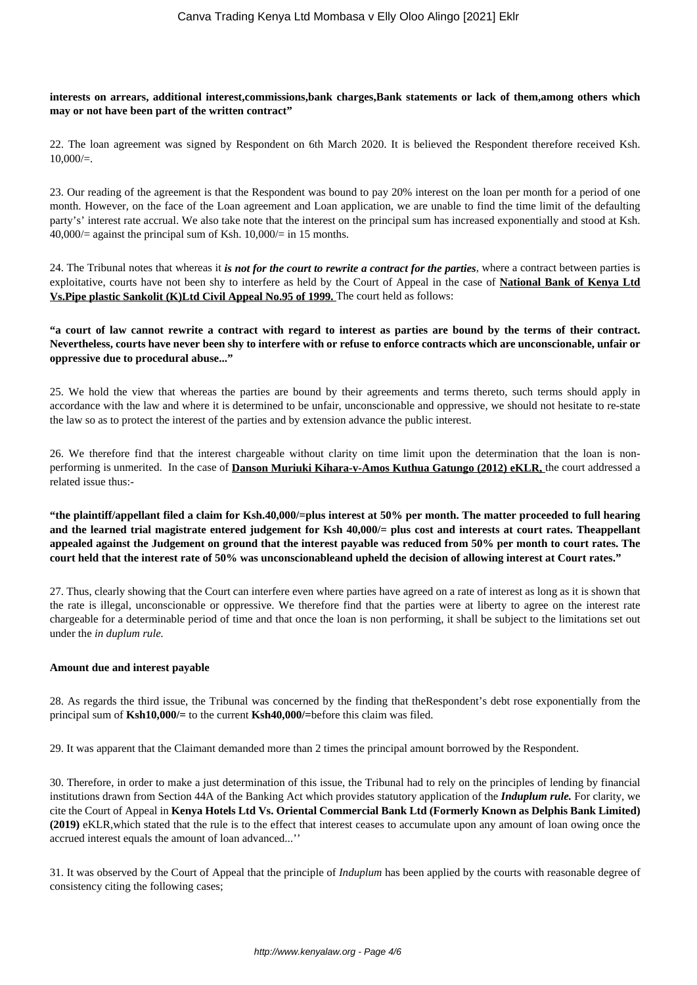## **interests on arrears, additional interest,commissions,bank charges,Bank statements or lack of them,among others which may or not have been part of the written contract"**

22. The loan agreement was signed by Respondent on 6th March 2020. It is believed the Respondent therefore received Ksh.  $10,000/=$ .

23. Our reading of the agreement is that the Respondent was bound to pay 20% interest on the loan per month for a period of one month. However, on the face of the Loan agreement and Loan application, we are unable to find the time limit of the defaulting party's' interest rate accrual. We also take note that the interest on the principal sum has increased exponentially and stood at Ksh.  $40,000/$  against the principal sum of Ksh.  $10,000/$  in 15 months.

24. The Tribunal notes that whereas it *is not for the court to rewrite a contract for the parties*, where a contract between parties is exploitative, courts have not been shy to interfere as held by the Court of Appeal in the case of **National Bank of Kenya Ltd Vs.Pipe plastic Sankolit (K)Ltd Civil Appeal No.95 of 1999.** The court held as follows:

# **"a court of law cannot rewrite a contract with regard to interest as parties are bound by the terms of their contract. Nevertheless, courts have never been shy to interfere with or refuse to enforce contracts which are unconscionable, unfair or oppressive due to procedural abuse..."**

25. We hold the view that whereas the parties are bound by their agreements and terms thereto, such terms should apply in accordance with the law and where it is determined to be unfair, unconscionable and oppressive, we should not hesitate to re-state the law so as to protect the interest of the parties and by extension advance the public interest.

26. We therefore find that the interest chargeable without clarity on time limit upon the determination that the loan is nonperforming is unmerited. In the case of **Danson Muriuki Kihara-v-Amos Kuthua Gatungo (2012) eKLR,** the court addressed a related issue thus:-

**"the plaintiff/appellant filed a claim for Ksh.40,000/=plus interest at 50% per month. The matter proceeded to full hearing and the learned trial magistrate entered judgement for Ksh 40,000/= plus cost and interests at court rates. Theappellant appealed against the Judgement on ground that the interest payable was reduced from 50% per month to court rates. The court held that the interest rate of 50% was unconscionableand upheld the decision of allowing interest at Court rates."**

27. Thus, clearly showing that the Court can interfere even where parties have agreed on a rate of interest as long as it is shown that the rate is illegal, unconscionable or oppressive. We therefore find that the parties were at liberty to agree on the interest rate chargeable for a determinable period of time and that once the loan is non performing, it shall be subject to the limitations set out under the *in duplum rule.* 

## **Amount due and interest payable**

28. As regards the third issue, the Tribunal was concerned by the finding that theRespondent's debt rose exponentially from the principal sum of **Ksh10,000/=** to the current **Ksh40,000/=**before this claim was filed.

29. It was apparent that the Claimant demanded more than 2 times the principal amount borrowed by the Respondent.

30. Therefore, in order to make a just determination of this issue, the Tribunal had to rely on the principles of lending by financial institutions drawn from Section 44A of the Banking Act which provides statutory application of the *Induplum rule.* For clarity, we cite the Court of Appeal in **Kenya Hotels Ltd Vs. Oriental Commercial Bank Ltd (Formerly Known as Delphis Bank Limited) (2019)** eKLR,which stated that the rule is to the effect that interest ceases to accumulate upon any amount of loan owing once the accrued interest equals the amount of loan advanced...''

31. It was observed by the Court of Appeal that the principle of *Induplum* has been applied by the courts with reasonable degree of consistency citing the following cases;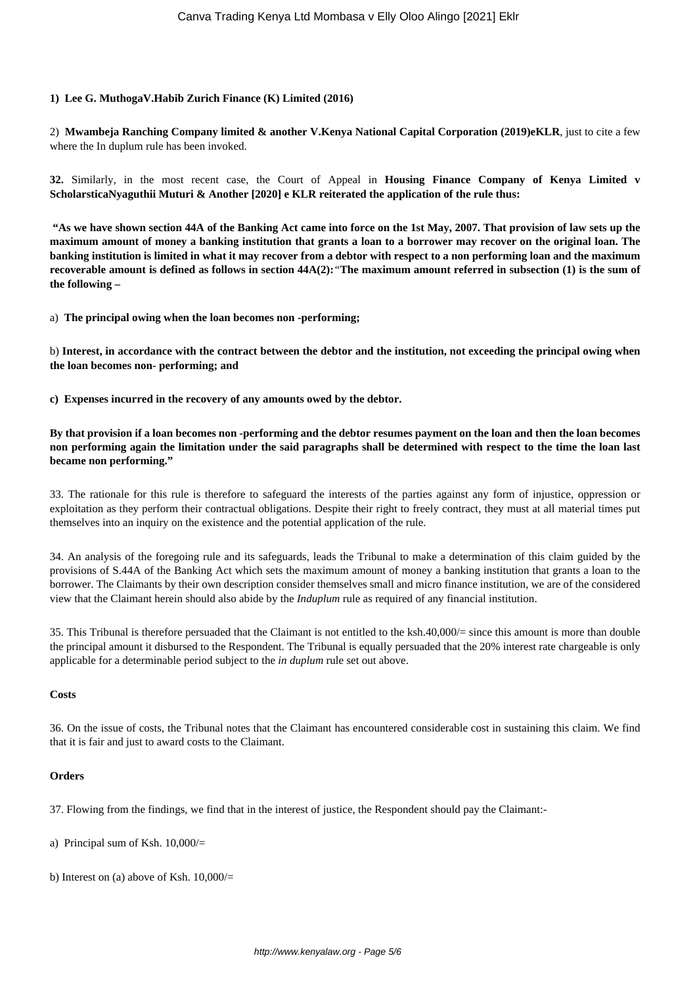## **1) Lee G. MuthogaV.Habib Zurich Finance (K) Limited (2016)**

2) **Mwambeja Ranching Company limited & another V.Kenya National Capital Corporation (2019)eKLR**, just to cite a few where the In duplum rule has been invoked.

**32.** Similarly, in the most recent case, the Court of Appeal in **Housing Finance Company of Kenya Limited v ScholarsticaNyaguthii Muturi & Another [2020] e KLR reiterated the application of the rule thus:** 

**"As we have shown section 44A of the Banking Act came into force on the 1st May, 2007. That provision of law sets up the maximum amount of money a banking institution that grants a loan to a borrower may recover on the original loan. The banking institution is limited in what it may recover from a debtor with respect to a non performing loan and the maximum recoverable amount is defined as follows in section 44A(2):***"***The maximum amount referred in subsection (1) is the sum of the following –**

a) **The principal owing when the loan becomes non -performing;**

b) **Interest, in accordance with the contract between the debtor and the institution, not exceeding the principal owing when the loan becomes non- performing; and**

**c) Expenses incurred in the recovery of any amounts owed by the debtor.**

**By that provision if a loan becomes non -performing and the debtor resumes payment on the loan and then the loan becomes non performing again the limitation under the said paragraphs shall be determined with respect to the time the loan last became non performing."**

33. The rationale for this rule is therefore to safeguard the interests of the parties against any form of injustice, oppression or exploitation as they perform their contractual obligations. Despite their right to freely contract, they must at all material times put themselves into an inquiry on the existence and the potential application of the rule.

34. An analysis of the foregoing rule and its safeguards, leads the Tribunal to make a determination of this claim guided by the provisions of S.44A of the Banking Act which sets the maximum amount of money a banking institution that grants a loan to the borrower. The Claimants by their own description consider themselves small and micro finance institution, we are of the considered view that the Claimant herein should also abide by the *Induplum* rule as required of any financial institution.

35. This Tribunal is therefore persuaded that the Claimant is not entitled to the ksh.40,000/= since this amount is more than double the principal amount it disbursed to the Respondent. The Tribunal is equally persuaded that the 20% interest rate chargeable is only applicable for a determinable period subject to the *in duplum* rule set out above.

#### **Costs**

36. On the issue of costs, the Tribunal notes that the Claimant has encountered considerable cost in sustaining this claim. We find that it is fair and just to award costs to the Claimant.

## **Orders**

37. Flowing from the findings, we find that in the interest of justice, the Respondent should pay the Claimant:-

- a) Principal sum of Ksh. 10,000/=
- b) Interest on (a) above of Ksh. 10,000/=